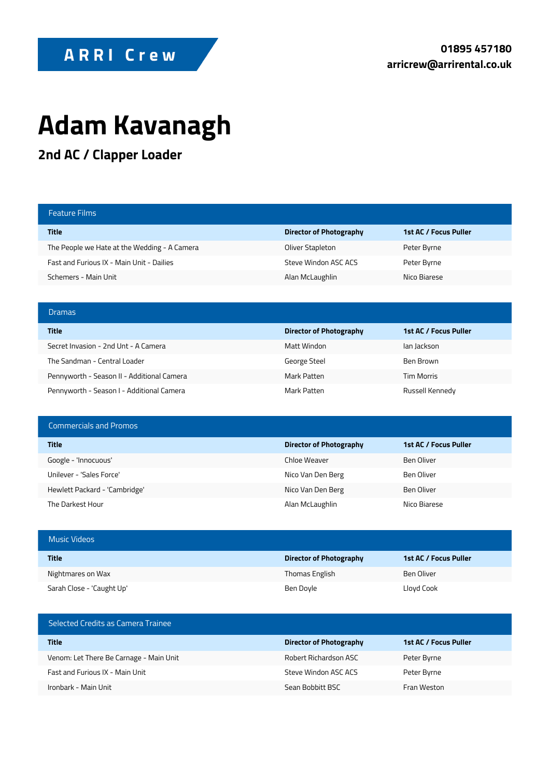## ARRI Crew

## **Adam Kavanagh**

**2nd AC / Clapper Loader**

| <b>Feature Films</b>                         |                         |                       |
|----------------------------------------------|-------------------------|-----------------------|
| <b>Title</b>                                 | Director of Photography | 1st AC / Focus Puller |
| The People we Hate at the Wedding - A Camera | Oliver Stapleton        | Peter Byrne           |
| Fast and Furious IX - Main Unit - Dailies    | Steve Windon ASC ACS    | Peter Byrne           |
| Schemers - Main Unit                         | Alan McLaughlin         | Nico Biarese          |
|                                              |                         |                       |
|                                              |                         |                       |
| <b>Dramas</b>                                |                         |                       |
| <b>Title</b>                                 | Director of Photography | 1st AC / Focus Puller |
| Secret Invasion - 2nd Unt - A Camera         | Matt Windon             | lan lackson           |
| The Sandman - Central Loader                 | George Steel            | Ben Brown             |
| Pennyworth - Season II - Additional Camera   | Mark Patten             | <b>Tim Morris</b>     |

| <b>Commercials and Promos</b> |                         |                       |
|-------------------------------|-------------------------|-----------------------|
| <b>Title</b>                  | Director of Photography | 1st AC / Focus Puller |
| Google - 'Innocuous'          | Chloe Weaver            | Ben Oliver            |
| Unilever - 'Sales Force'      | Nico Van Den Berg       | Ben Oliver            |
| Hewlett Packard - 'Cambridge' | Nico Van Den Berg       | Ben Oliver            |
| The Darkest Hour              | Alan McLaughlin         | Nico Biarese          |

| <b>Music Videos</b>       |                         |                       |
|---------------------------|-------------------------|-----------------------|
| <b>Title</b>              | Director of Photography | 1st AC / Focus Puller |
| Nightmares on Wax         | Thomas English          | Ben Oliver            |
| Sarah Close - 'Caught Up' | Ben Doyle               | Lloyd Cook            |

| Selected Credits as Camera Trainee      |                                |                       |
|-----------------------------------------|--------------------------------|-----------------------|
| Title                                   | <b>Director of Photography</b> | 1st AC / Focus Puller |
| Venom: Let There Be Carnage - Main Unit | Robert Richardson ASC          | Peter Byrne           |
| Fast and Furious IX - Main Unit         | Steve Windon ASC ACS           | Peter Byrne           |
| Ironbark - Main Unit                    | Sean Bobbitt BSC               | Fran Weston           |